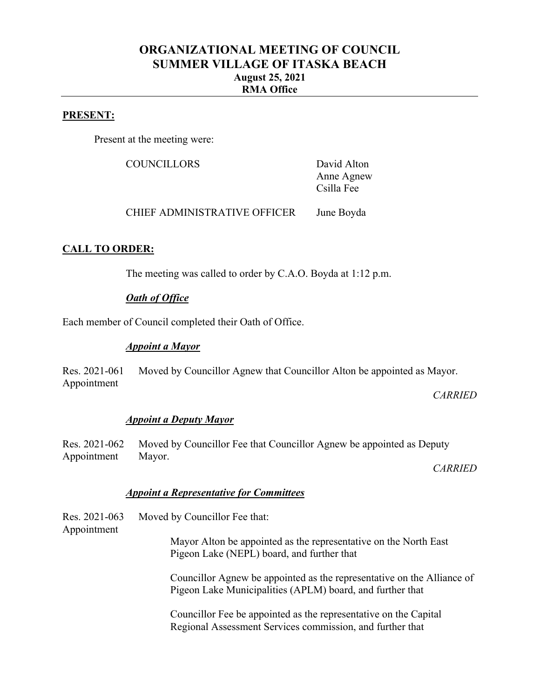# **ORGANIZATIONAL MEETING OF COUNCIL SUMMER VILLAGE OF ITASKA BEACH August 25, 2021 RMA Office**

#### **PRESENT:**

Present at the meeting were:

COUNCILLORS David Alton

Anne Agnew Csilla Fee

CHIEF ADMINISTRATIVE OFFICER June Boyda

## **CALL TO ORDER:**

The meeting was called to order by C.A.O. Boyda at 1:12 p.m.

#### *Oath of Office*

Each member of Council completed their Oath of Office.

#### *Appoint a Mayor*

Res. 2021-061 Appointment Moved by Councillor Agnew that Councillor Alton be appointed as Mayor.

*CARRIED*

#### *Appoint a Deputy Mayor*

Res. 2021-062 Appointment Moved by Councillor Fee that Councillor Agnew be appointed as Deputy Mayor.

*CARRIED*

#### *Appoint a Representative for Committees*

Res. 2021-063 Appointment Moved by Councillor Fee that: Mayor Alton be appointed as the representative on the North East Pigeon Lake (NEPL) board, and further that Councillor Agnew be appointed as the representative on the Alliance of Pigeon Lake Municipalities (APLM) board, and further that Councillor Fee be appointed as the representative on the Capital Regional Assessment Services commission, and further that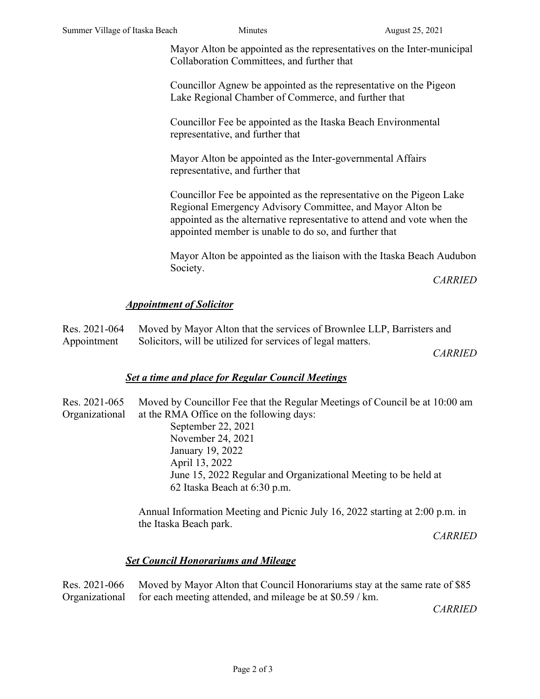Mayor Alton be appointed as the representatives on the Inter-municipal Collaboration Committees, and further that

Councillor Agnew be appointed as the representative on the Pigeon Lake Regional Chamber of Commerce, and further that

Councillor Fee be appointed as the Itaska Beach Environmental representative, and further that

Mayor Alton be appointed as the Inter-governmental Affairs representative, and further that

Councillor Fee be appointed as the representative on the Pigeon Lake Regional Emergency Advisory Committee, and Mayor Alton be appointed as the alternative representative to attend and vote when the appointed member is unable to do so, and further that

Mayor Alton be appointed as the liaison with the Itaska Beach Audubon Society.

*CARRIED*

#### *Appointment of Solicitor*

|             | Res. 2021-064 Moved by Mayor Alton that the services of Brownlee LLP, Barristers and |  |
|-------------|--------------------------------------------------------------------------------------|--|
| Appointment | Solicitors, will be utilized for services of legal matters.                          |  |

*CARRIED*

## *Set a time and place for Regular Council Meetings*

| Res. 2021-065  | Moved by Councillor Fee that the Regular Meetings of Council be at 10:00 am |
|----------------|-----------------------------------------------------------------------------|
| Organizational | at the RMA Office on the following days:                                    |
|                | September 22, 2021                                                          |
|                | November 24, 2021                                                           |
|                | January 19, 2022                                                            |
|                | April 13, 2022                                                              |
|                | June 15, 2022 Regular and Organizational Meeting to be held at              |
|                | 62 Itaska Beach at 6:30 p.m.                                                |
|                |                                                                             |

Annual Information Meeting and Picnic July 16, 2022 starting at 2:00 p.m. in the Itaska Beach park.

*CARRIED*

## *Set Council Honorariums and Mileage*

Res. 2021-066 Organizational Moved by Mayor Alton that Council Honorariums stay at the same rate of \$85 for each meeting attended, and mileage be at \$0.59 / km.

*CARRIED*